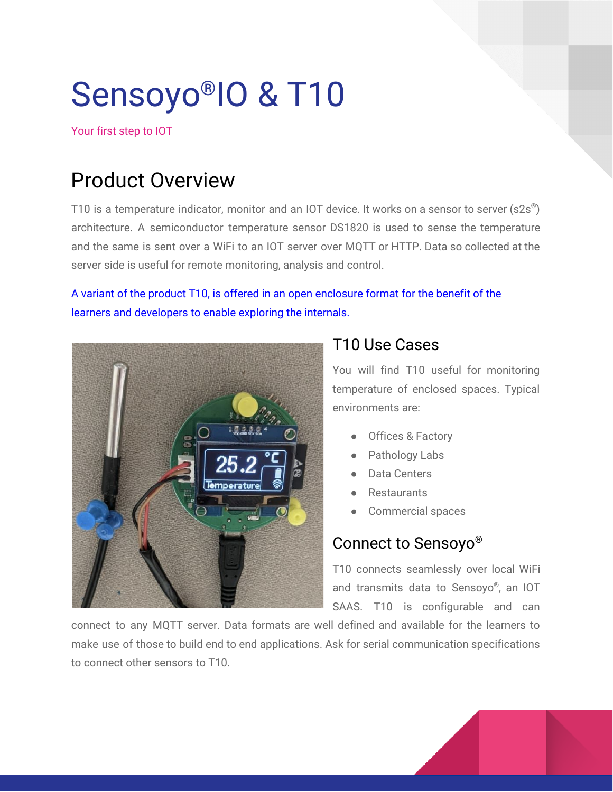# Sensoyo ®IO & T10

Your first step to IOT

# Product Overview

T10 is a temperature indicator, monitor and an IOT device. It works on a sensor to server (s2s®) architecture. A semiconductor temperature sensor DS1820 is used to sense the temperature and the same is sent over a WiFi to an IOT server over MQTT or HTTP. Data so collected at the server side is useful for remote monitoring, analysis and control.

#### A variant of the product T10, is offered in an open enclosure format for the benefit of the learners and developers to enable exploring the internals.



### T10 Use Cases

You will find T10 useful for monitoring temperature of enclosed spaces. Typical environments are:

- Offices & Factory
- Pathology Labs
- Data Centers
- **Restaurants**
- Commercial spaces

### Connect to Sensoyo ®

T10 connects seamlessly over local WiFi and transmits data to Sensoyo ® , an IOT SAAS. T10 is configurable and can

connect to any MQTT server. Data formats are well defined and available for the learners to make use of those to build end to end applications. Ask for serial communication specifications to connect other sensors to T10.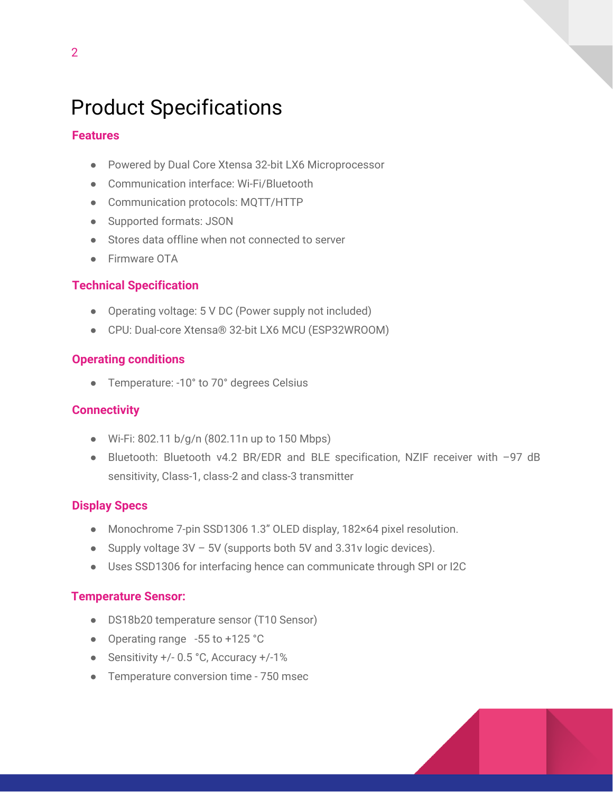# Product Specifications

#### **Features**

- Powered by Dual Core Xtensa 32-bit LX6 Microprocessor
- Communication interface: Wi-Fi/Bluetooth
- Communication protocols: MQTT/HTTP
- Supported formats: JSON
- Stores data offline when not connected to server
- Firmware OTA

#### **Technical Specification**

- Operating voltage: 5 V DC (Power supply not included)
- CPU: Dual-core Xtensa® 32-bit LX6 MCU (ESP32WROOM)

#### **Operating conditions**

● Temperature: -10° to 70° degrees Celsius

#### **Connectivity**

- Wi-Fi: 802.11 b/g/n (802.11n up to 150 Mbps)
- Bluetooth: Bluetooth v4.2 BR/EDR and BLE specification, NZIF receiver with -97 dB sensitivity, Class-1, class-2 and class-3 transmitter

#### **Display Specs**

- Monochrome 7-pin SSD1306 1.3" OLED display, 182×64 pixel resolution.
- Supply voltage  $3V 5V$  (supports both  $5V$  and  $3.31v$  logic devices).
- Uses SSD1306 for interfacing hence can communicate through SPI or I2C

#### **Temperature Sensor:**

- DS18b20 temperature sensor (T10 Sensor)
- Operating range -55 to +125 °C
- Sensitivity +/- 0.5 °C, Accuracy +/-1%
- Temperature conversion time 750 msec

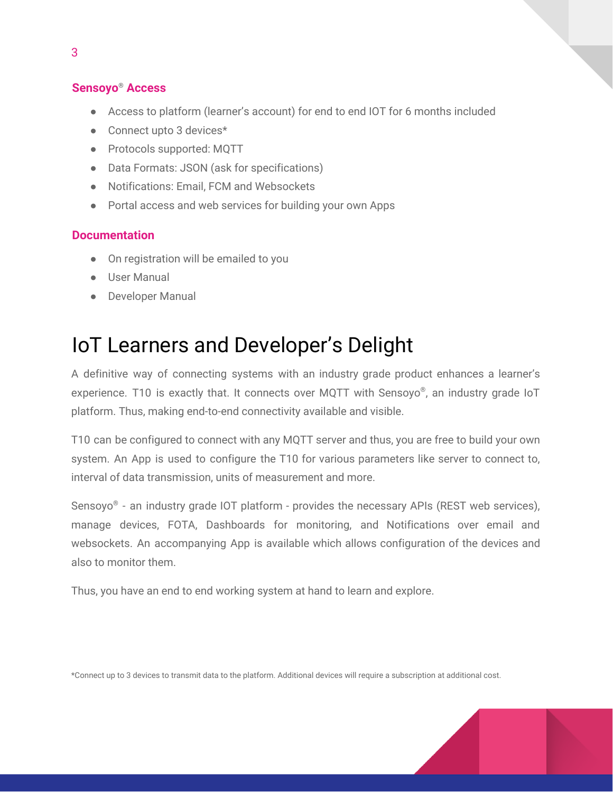#### **Sensoyo® Access**

- Access to platform (learner's account) for end to end IOT for 6 months included
- Connect upto 3 devices\*
- Protocols supported: MQTT
- Data Formats: JSON (ask for specifications)
- Notifications: Email, FCM and Websockets
- Portal access and web services for building your own Apps

#### **Documentation**

- On registration will be emailed to you
- User Manual
- Developer Manual

# IoT Learners and Developer's Delight

A definitive way of connecting systems with an industry grade product enhances a learner's experience. T10 is exactly that. It connects over MQTT with Sensoyo®, an industry grade IoT platform. Thus, making end-to-end connectivity available and visible.

T10 can be configured to connect with any MQTT server and thus, you are free to build your own system. An App is used to configure the T10 for various parameters like server to connect to, interval of data transmission, units of measurement and more.

Sensoyo® - an industry grade IOT platform - provides the necessary APIs (REST web services), manage devices, FOTA, Dashboards for monitoring, and Notifications over email and websockets. An accompanying App is available which allows configuration of the devices and also to monitor them.

Thus, you have an end to end working system at hand to learn and explore.

\*Connect up to 3 devices to transmit data to the platform. Additional devices will require a subscription at additional cost.